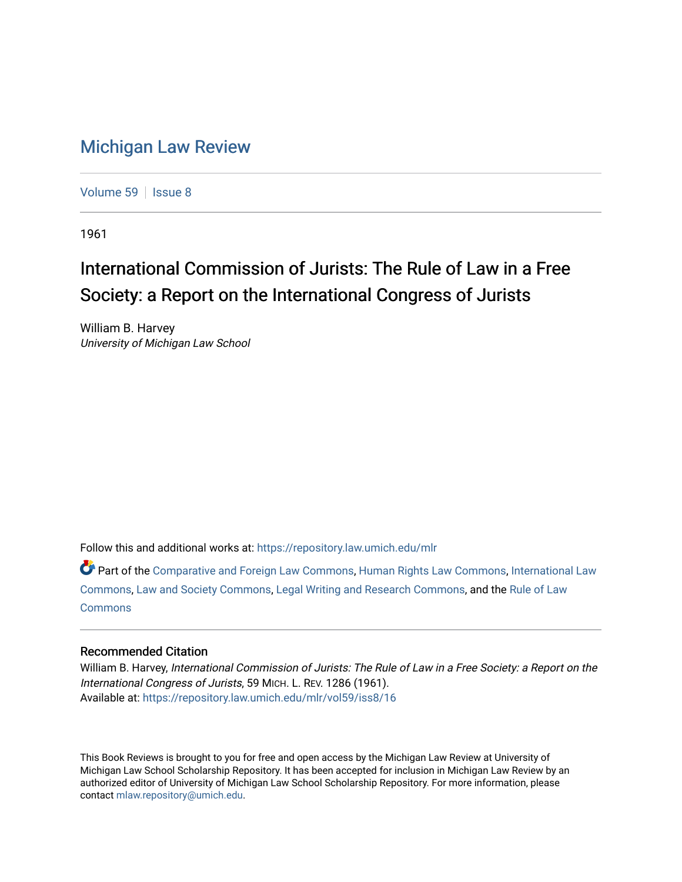## [Michigan Law Review](https://repository.law.umich.edu/mlr)

[Volume 59](https://repository.law.umich.edu/mlr/vol59) | [Issue 8](https://repository.law.umich.edu/mlr/vol59/iss8)

1961

## International Commission of Jurists: The Rule of Law in a Free Society: a Report on the International Congress of Jurists

William B. Harvey University of Michigan Law School

Follow this and additional works at: [https://repository.law.umich.edu/mlr](https://repository.law.umich.edu/mlr?utm_source=repository.law.umich.edu%2Fmlr%2Fvol59%2Fiss8%2F16&utm_medium=PDF&utm_campaign=PDFCoverPages) 

Part of the [Comparative and Foreign Law Commons,](http://network.bepress.com/hgg/discipline/836?utm_source=repository.law.umich.edu%2Fmlr%2Fvol59%2Fiss8%2F16&utm_medium=PDF&utm_campaign=PDFCoverPages) [Human Rights Law Commons,](http://network.bepress.com/hgg/discipline/847?utm_source=repository.law.umich.edu%2Fmlr%2Fvol59%2Fiss8%2F16&utm_medium=PDF&utm_campaign=PDFCoverPages) International Law [Commons](http://network.bepress.com/hgg/discipline/609?utm_source=repository.law.umich.edu%2Fmlr%2Fvol59%2Fiss8%2F16&utm_medium=PDF&utm_campaign=PDFCoverPages), [Law and Society Commons,](http://network.bepress.com/hgg/discipline/853?utm_source=repository.law.umich.edu%2Fmlr%2Fvol59%2Fiss8%2F16&utm_medium=PDF&utm_campaign=PDFCoverPages) [Legal Writing and Research Commons,](http://network.bepress.com/hgg/discipline/614?utm_source=repository.law.umich.edu%2Fmlr%2Fvol59%2Fiss8%2F16&utm_medium=PDF&utm_campaign=PDFCoverPages) and the [Rule of Law](http://network.bepress.com/hgg/discipline/1122?utm_source=repository.law.umich.edu%2Fmlr%2Fvol59%2Fiss8%2F16&utm_medium=PDF&utm_campaign=PDFCoverPages)  **[Commons](http://network.bepress.com/hgg/discipline/1122?utm_source=repository.law.umich.edu%2Fmlr%2Fvol59%2Fiss8%2F16&utm_medium=PDF&utm_campaign=PDFCoverPages)** 

## Recommended Citation

William B. Harvey, International Commission of Jurists: The Rule of Law in a Free Society: a Report on the International Congress of Jurists, 59 MICH. L. REV. 1286 (1961). Available at: [https://repository.law.umich.edu/mlr/vol59/iss8/16](https://repository.law.umich.edu/mlr/vol59/iss8/16?utm_source=repository.law.umich.edu%2Fmlr%2Fvol59%2Fiss8%2F16&utm_medium=PDF&utm_campaign=PDFCoverPages) 

This Book Reviews is brought to you for free and open access by the Michigan Law Review at University of Michigan Law School Scholarship Repository. It has been accepted for inclusion in Michigan Law Review by an authorized editor of University of Michigan Law School Scholarship Repository. For more information, please contact [mlaw.repository@umich.edu](mailto:mlaw.repository@umich.edu).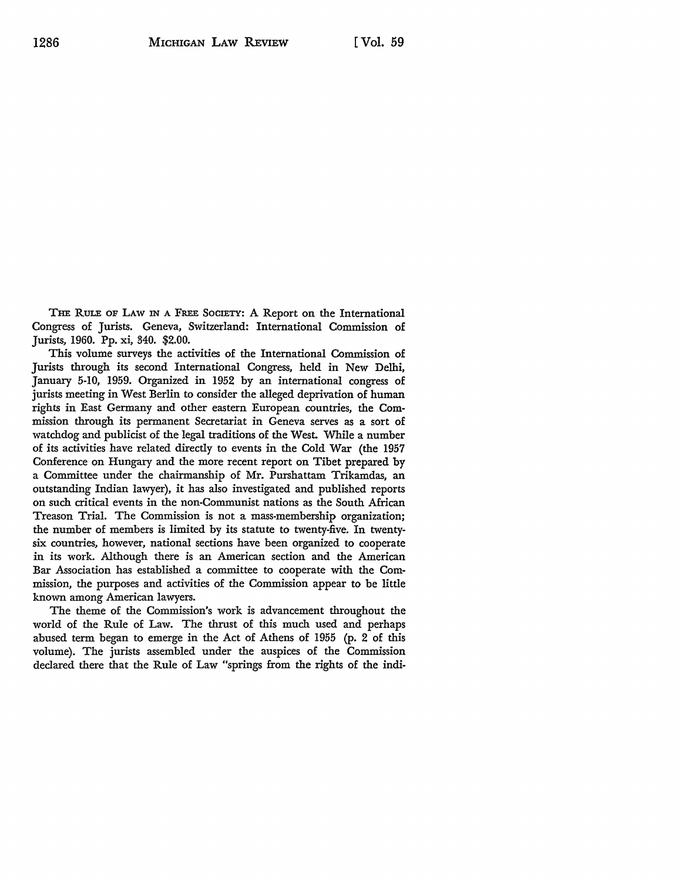THE RULE OF LAW IN A FREE SOCIETY: A Report on the International Congress of Jurists. Geneva, Switzerland: International Commission of Jurists, 1960. Pp. *xi,* 340. \$2.00.

This volume surveys the activities of the International Commission of Jurists through its second International Congress, held in New Delhi, January 5-10, 1959. Organized in 1952 by an international congress of jurists meeting in West Berlin to consider the alleged deprivation of human rights in East Germany and other eastern European countries, the Commission through its permanent Secretariat in Geneva serves as a sort of watchdog and publicist of the legal traditions of the West. While a number of its activities have related directly to events in the Cold War (the 1957 Conference on Hungary and the more recent report on Tibet prepared by a Committee under the chairmanship of Mr. Purshattam Trikamdas, an outstanding Indian lawyer), it has also investigated and published reports on such critical events in the non-Communist nations as the South African Treason Trial. The Commission is not a mass-membership organization; the number of members is limited by its statute to twenty-five. In twentysix countries, however, national sections have been organized to cooperate in its work. Although there is an American section and the American Bar Association has established a committee to cooperate with the Commission, the purposes and activities of the Commission appear to be little known among American lawyers.

The theme of the Commission's work is advancement throughout the world of the Rule of Law. The thrust of this much used and perhaps abused term began to emerge in the Act of Athens of 1955 (p. 2 of this volume). The jurists assembled under the auspices of the Commission declared there that the Rule of Law "springs from the rights of the indi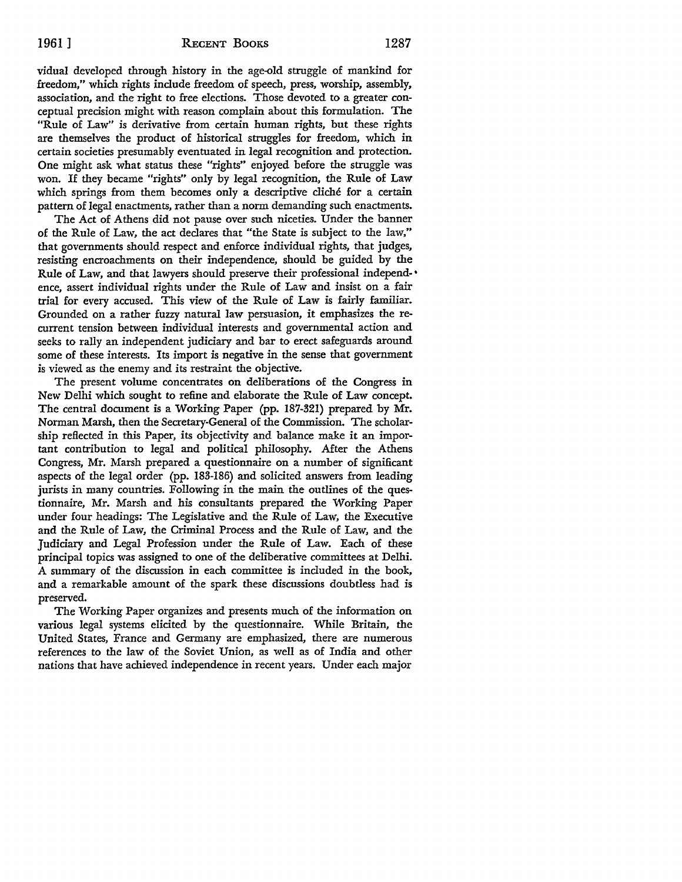vidual developed through history in the age-old struggle of mankind for freedom," which rights include freedom of speech, press, worship, assembly, association, and the right to free elections. Those devoted to a greater conceptual precision might with reason complain about this formulation. The "Rule of Law" is derivative from certain human rights, but these rights are themselves the product of historical struggles for freedom, which in certain societies presumably eventuated in legal recognition and protection. One might ask what status these "rights" enjoyed before the struggle was won. If they became "rights" only by legal recognition, the Rule of Law which springs from them becomes only a descriptive cliché for a certain pattern of legal enactments, rather than a norm demanding such enactments.

The Act of Athens did not pause over such niceties. Under the banner of the Rule of Law, the act declares that "the State is subject to the law," that governments should respect and enforce individual rights, that judges, resisting encroachments on their independence, should be guided by the Rule of Law, and that lawyers should preserve their professional independ- • ence, assert individual rights under the Rule of Law and insist on a fair trial for every accused. This view of the Rule of Law is fairly familiar. Grounded on a rather fuzzy natural law persuasion, it emphasizes the recurrent tension between individual interests and governmental action and seeks to rally an independent judiciary and bar to erect safeguards around some of these interests. Its import is negative in the sense that government is viewed as the enemy and its restraint the objective.

The present volume concentrates on deliberations of the Congress in New Delhi which sought to refine and elaborate the Rule of Law concept. The central document is a Working Paper (pp. 187-321) prepared by Mr. Norman Marsh, then the Secretary-General of the Commission. The scholarship reflected in this Paper, its objectivity and balance make it an important contribution to legal and political philosophy. After the Athens Congress, Mr. Marsh prepared a questionnaire on a number of significant aspects of the legal order (pp. 183-186) and solicited answers from leading jurists in many countries. Following in the main the outlines of the questionnaire, Mr. Marsh and his consultants prepared the Working Paper under four headings: The Legislative and the Rule of Law, the Executive and the Rule of Law, the Criminal Process and the Rule of Law, and the Judiciary and Legal Profession under the Rule of Law. Each of these principal topics was assigned to one of the deliberative committees at Delhi. A summary of the discussion in each committee is included in the book, and a remarkable amount of the spark these discussions doubtless had is preserved.

The Working Paper organizes and presents much of the information on various legal systems elicited by the questionnaire. While Britain, the United States, France and Germany are emphasized, there are numerous references to the law of the Soviet Union, as well as of India and other nations that have achieved independence in recent years. Under each major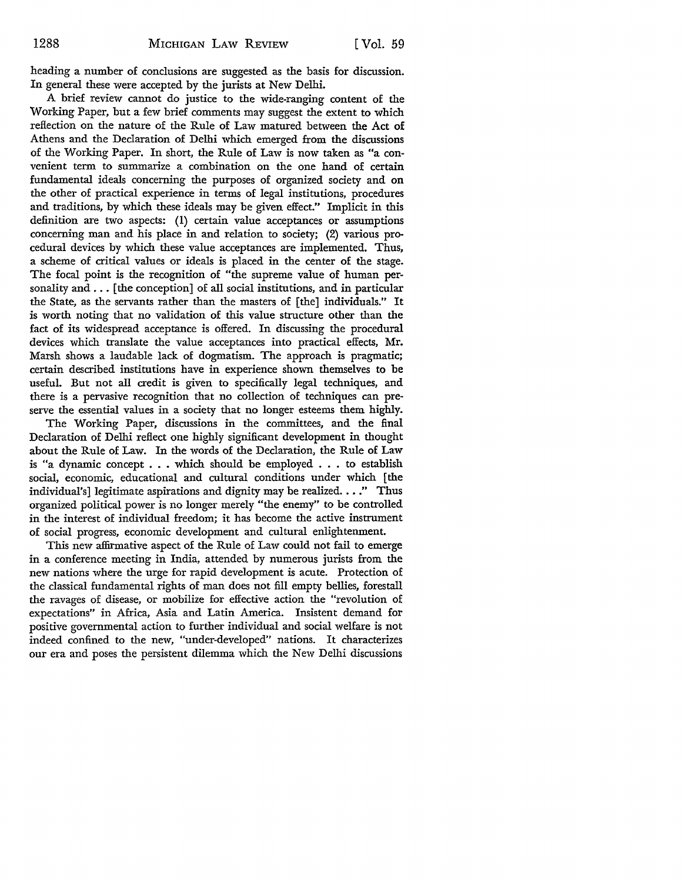heading a number of conclusions are suggested as the basis for discussion. In general these were accepted by the jurists at New Delhi.

A brief review cannot do justice to the wide-ranging content of the Working Paper, but a few brief comments may suggest the extent to which reflection on the nature of the Rule of Law matured between the Act of Athens and the Declaration of Delhi which emerged from the discussions of the Working Paper. In short, the Rule of Law is now taken as "a convenient term to summarize a combination on the one hand of certain fundamental ideals concerning the purposes of organized society and on the other of practical experience in terms of legal institutions, procedures and traditions, by which these ideals may be given effect." Implicit in this definition are two aspects: (I) certain value acceptances or assumptions concerning man and his place in and relation to society; (2) various procedural devices by which these value acceptances are implemented. Thus, a scheme of critical values or ideals is placed in the center of the stage. The focal point is the recognition of "the supreme value of human personality and ... [the conception] of all social institutions, and in particular the State, as the servants rather than the masters of [the] individuals." It is worth noting that no validation of this value structure other than the fact of its widespread acceptance is offered. In discussing the procedural devices which translate the value acceptances into practical effects, **Mr.**  Marsh shows a laudable lack of dogmatism. The approach is pragmatic; certain described institutions have in experience shown themselves to be useful. But not all credit is given to specifically legal techniques, and there is a pervasive recognition that no collection of techniques can preserve the essential values in a society that no longer esteems them highly.

The Working Paper, discussions in the committees, and the final Declaration of Delhi reflect one highly significant development in thought about the Rule of Law. In the words of the Declaration, the Rule of Law is "a dynamic concept . . . which should be employed . . . to establish social, economic, educational and cultural conditions under which [the individual's] legitimate aspirations and dignity may be realized.  $\dots$ . Thus organized political power is no longer merely "the enemy" to be controlled in the interest of individual freedom; it has become the active instrument of social progress, economic development and cultural enlightenment.

This new affirmative aspect of the Rule of Law could not fail to emerge in a conference meeting in India, attended by numerous jurists from the new nations where the urge for rapid development is acute. Protection of the classical fundamental rights of man does not fill empty bellies, forestall the ravages of disease, or mobilize for effective action the "revolution of expectations" in Africa, Asia and Latin America. Insistent demand for positive governmental action to further individual and social welfare is not indeed confined to the new, "under-developed" nations. It characterizes our era and poses the persistent dilemma which the New Delhi discussions